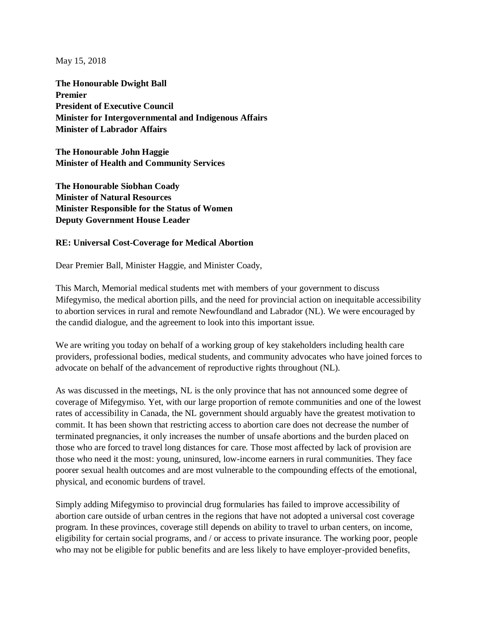May 15, 2018

**The Honourable Dwight Ball Premier President of Executive Council Minister for Intergovernmental and Indigenous Affairs Minister of Labrador Affairs**

**The Honourable John Haggie Minister of Health and Community Services**

**The Honourable Siobhan Coady Minister of Natural Resources Minister Responsible for the Status of Women Deputy Government House Leader**

## **RE: Universal Cost-Coverage for Medical Abortion**

Dear Premier Ball, Minister Haggie, and Minister Coady,

This March, Memorial medical students met with members of your government to discuss Mifegymiso, the medical abortion pills, and the need for provincial action on inequitable accessibility to abortion services in rural and remote Newfoundland and Labrador (NL). We were encouraged by the candid dialogue, and the agreement to look into this important issue.

We are writing you today on behalf of a working group of key stakeholders including health care providers, professional bodies, medical students, and community advocates who have joined forces to advocate on behalf of the advancement of reproductive rights throughout (NL).

As was discussed in the meetings, NL is the only province that has not announced some degree of coverage of Mifegymiso. Yet, with our large proportion of remote communities and one of the lowest rates of accessibility in Canada, the NL government should arguably have the greatest motivation to commit. It has been shown that restricting access to abortion care does not decrease the number of terminated pregnancies, it only increases the number of unsafe abortions and the burden placed on those who are forced to travel long distances for care. Those most affected by lack of provision are those who need it the most: young, uninsured, low-income earners in rural communities. They face poorer sexual health outcomes and are most vulnerable to the compounding effects of the emotional, physical, and economic burdens of travel.

Simply adding Mifegymiso to provincial drug formularies has failed to improve accessibility of abortion care outside of urban centres in the regions that have not adopted a universal cost coverage program. In these provinces, coverage still depends on ability to travel to urban centers, on income, eligibility for certain social programs, and / or access to private insurance. The working poor, people who may not be eligible for public benefits and are less likely to have employer-provided benefits,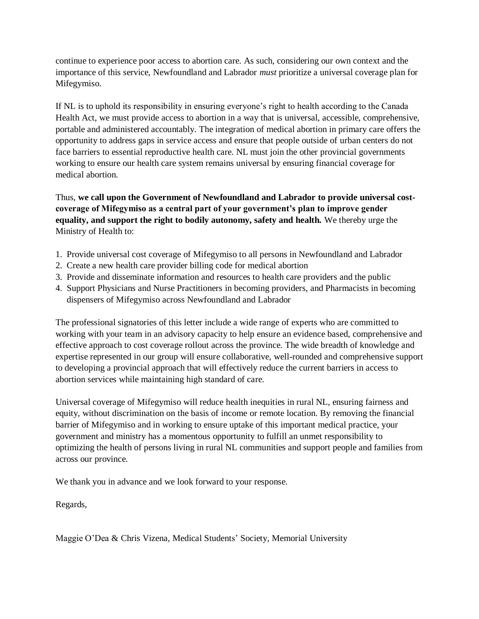continue to experience poor access to abortion care. As such, considering our own context and the importance of this service, Newfoundland and Labrador *must* prioritize a universal coverage plan for Mifegymiso.

If NL is to uphold its responsibility in ensuring everyone's right to health according to the Canada Health Act, we must provide access to abortion in a way that is universal, accessible, comprehensive, portable and administered accountably. The integration of medical abortion in primary care offers the opportunity to address gaps in service access and ensure that people outside of urban centers do not face barriers to essential reproductive health care. NL must join the other provincial governments working to ensure our health care system remains universal by ensuring financial coverage for medical abortion.

Thus, **we call upon the Government of Newfoundland and Labrador to provide universal costcoverage of Mifegymiso as a central part of your government's plan to improve gender equality, and support the right to bodily autonomy, safety and health.** We thereby urge the Ministry of Health to:

- 1. Provide universal cost coverage of Mifegymiso to all persons in Newfoundland and Labrador
- 2. Create a new health care provider billing code for medical abortion
- 3. Provide and disseminate information and resources to health care providers and the public
- 4. Support Physicians and Nurse Practitioners in becoming providers, and Pharmacists in becoming dispensers of Mifegymiso across Newfoundland and Labrador

The professional signatories of this letter include a wide range of experts who are committed to working with your team in an advisory capacity to help ensure an evidence based, comprehensive and effective approach to cost coverage rollout across the province. The wide breadth of knowledge and expertise represented in our group will ensure collaborative, well-rounded and comprehensive support to developing a provincial approach that will effectively reduce the current barriers in access to abortion services while maintaining high standard of care.

Universal coverage of Mifegymiso will reduce health inequities in rural NL, ensuring fairness and equity, without discrimination on the basis of income or remote location. By removing the financial barrier of Mifegymiso and in working to ensure uptake of this important medical practice, your government and ministry has a momentous opportunity to fulfill an unmet responsibility to optimizing the health of persons living in rural NL communities and support people and families from across our province.

We thank you in advance and we look forward to your response.

Regards,

Maggie O'Dea & Chris Vizena, Medical Students' Society, Memorial University